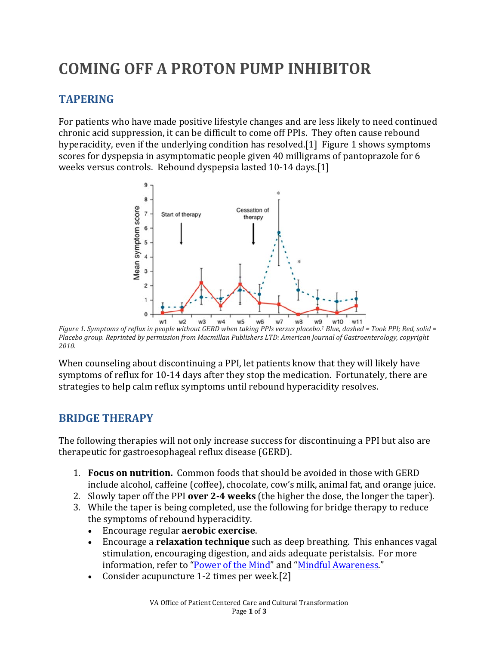# **COMING OFF A PROTON PUMP INHIBITOR**

#### **TAPERING**

For patients who have made positive lifestyle changes and are less likely to need continued chronic acid suppression, it can be difficult to come off PPIs. They often cause rebound hyperacidity, even if the underlying condition has resolved.[\[1\]](#page-1-0) Figure 1 shows symptoms scores for dyspepsia in asymptomatic people given 40 milligrams of pantoprazole for 6 weeks versus controls. Rebound dyspepsia lasted 10-14 days.[\[1\]](#page-1-0)



*Figure 1. Symptoms of reflux in people without GERD when taking PPIs versus placebo.1 Blue, dashed = Took PPI; Red, solid = Placebo group. Reprinted by permission from Macmillan Publishers LTD: American Journal of Gastroenterology, copyright 2010.*

When counseling about discontinuing a PPI, let patients know that they will likely have symptoms of reflux for 10-14 days after they stop the medication. Fortunately, there are strategies to help calm reflux symptoms until rebound hyperacidity resolves.

#### **BRIDGE THERAPY**

The following therapies will not only increase success for discontinuing a PPI but also are therapeutic for gastroesophageal reflux disease (GERD).

- 1. **Focus on nutrition.** Common foods that should be avoided in those with GERD include alcohol, caffeine (coffee), chocolate, cow's milk, animal fat, and orange juice.
- 2. Slowly taper off the PPI **over 2-4 weeks** (the higher the dose, the longer the taper).
- 3. While the taper is being completed, use the following for bridge therapy to reduce the symptoms of rebound hyperacidity.
	- Encourage regular **aerobic exercise**.
	- Encourage a **relaxation technique** such as deep breathing. This enhances vagal stimulation, encouraging digestion, and aids adequate peristalsis. For more information, refer to ["Power of the Mind"](https://wholehealth.wisc.edu/overviews/power-of-the-mind/) and ["Mindful Awareness.](https://wholehealth.wisc.edu/overviews/mindful-awareness/)"
	- Consider acupuncture 1-2 times per week.[\[2\]](#page-1-1)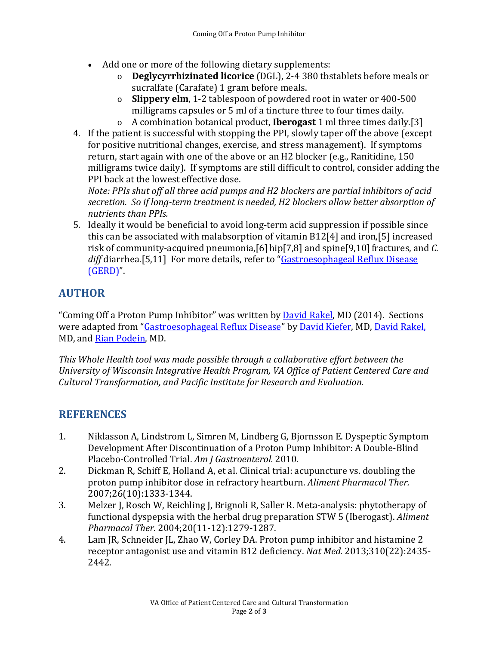- Add one or more of the following dietary supplements:
	- <sup>o</sup> **Deglycyrrhizinated licorice** (DGL), 2-4 380 tbstablets before meals or sucralfate (Carafate) 1 gram before meals.
	- <sup>o</sup> **Slippery elm**, 1-2 tablespoon of powdered root in water or 400-500 milligrams capsules or 5 ml of a tincture three to four times daily.
	- <sup>o</sup> A combination botanical product, **Iberogast** 1 ml three times daily.[\[3\]](#page-1-2)
- 4. If the patient is successful with stopping the PPI, slowly taper off the above (except for positive nutritional changes, exercise, and stress management). If symptoms return, start again with one of the above or an H2 blocker (e.g., Ranitidine, 150 milligrams twice daily). If symptoms are still difficult to control, consider adding the PPI back at the lowest effective dose.

*Note: PPIs shut off all three acid pumps and H2 blockers are partial inhibitors of acid secretion. So if long-term treatment is needed, H2 blockers allow better absorption of nutrients than PPIs.*

5. Ideally it would be beneficial to avoid long-term acid suppression if possible since this can be associated with malabsorption of vitamin B12[\[4\]](#page-1-3) and iron,[\[5\]](#page-2-0) increased risk of community-acquired pneumonia, [\[6\]](#page-2-1) hip<sup>[\[7](#page-2-2)</sup>[,8\]](#page-2-3) and spine<sup>[9</sup>,[10\]](#page-2-5) fractures, and *C.* diff diarrhea.<sup>[\[5,](#page-2-0)[11\]](#page-2-6)</sup> For more details, refer to "**Gastroesophageal Reflux Disease** [\(GERD\)"](https://wholehealth.wisc.edu/tools/gastroesophageal-reflux-disease-gerd/).

## **AUTHOR**

"Coming Off a Proton Pump Inhibitor" was written by [David Rakel,](https://fcm.unm.edu/administration/people/profiles/david_rakel.html) MD (2014). Sections were adapted from ["Gastroesophageal Reflux Disease"](https://www.fammed.wisc.edu/files/webfm-uploads/documents/outreach/im/module_gerd_clinician.pdf) b[y David Kiefer,](https://wholehealth.wisc.edu/staff/kiefer-david/) MD, [David Rakel,](https://fcm.unm.edu/administration/people/profiles/david_rakel.html) MD, an[d Rian Podein,](https://www.saukprairiehealthcare.org/Provider-Detail/provider/Rian-Podein) MD.

*This Whole Health tool was made possible through a collaborative effort between the University of Wisconsin Integrative Health Program, VA Office of Patient Centered Care and Cultural Transformation, and Pacific Institute for Research and Evaluation.*

### **REFERENCES**

- <span id="page-1-0"></span>1. Niklasson A, Lindstrom L, Simren M, Lindberg G, Bjornsson E. Dyspeptic Symptom Development After Discontinuation of a Proton Pump Inhibitor: A Double-Blind Placebo-Controlled Trial. *Am J Gastroenterol.* 2010.
- <span id="page-1-1"></span>2. Dickman R, Schiff E, Holland A, et al. Clinical trial: acupuncture vs. doubling the proton pump inhibitor dose in refractory heartburn. *Aliment Pharmacol Ther.*  2007;26(10):1333-1344.
- <span id="page-1-2"></span>3. Melzer J, Rosch W, Reichling J, Brignoli R, Saller R. Meta-analysis: phytotherapy of functional dyspepsia with the herbal drug preparation STW 5 (Iberogast). *Aliment Pharmacol Ther.* 2004;20(11-12):1279-1287.
- <span id="page-1-3"></span>4. Lam JR, Schneider JL, Zhao W, Corley DA. Proton pump inhibitor and histamine 2 receptor antagonist use and vitamin B12 deficiency. *Nat Med.* 2013;310(22):2435- 2442.